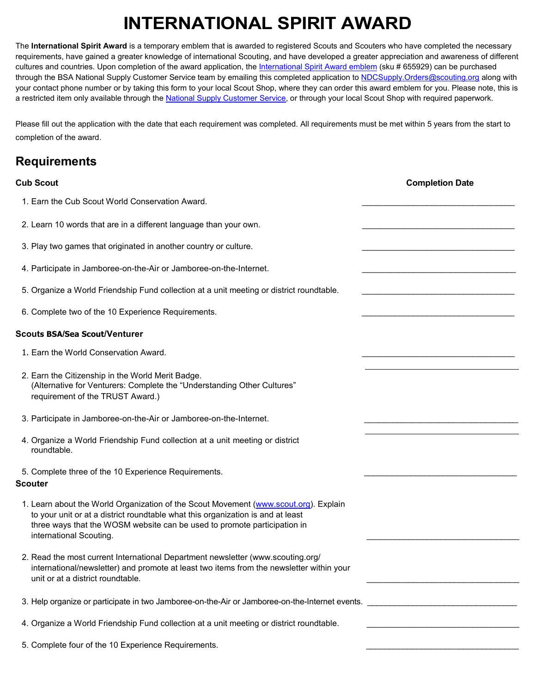## **INTERNATIONAL SPIRIT AWARD**

The **International Spirit Award** is a temporary emblem that is awarded to registered Scouts and Scouters who have completed the necessary requirements, have gained a greater knowledge of international Scouting, and have developed a greater appreciation and awareness of different cultures and countries. Upon completion of the award application, the [International Spirit Award emblem](https://www.scoutshop.org/international-spirit-award-emblem-655929.html) (sku # 655929) can be purchased through the BSA National Supply Customer Service team by emailing this completed application t[o NDCSupply.Orders@scouting.org](mailto:NDCSupply.Orders@scouting.org) along with your contact phone number or by taking this form to your local Scout Shop, where they can order this award emblem for you. Please note, this is a restricted item only available through the [National Supply Customer Service,](https://www.scoutshop.org/award) or through your local Scout Shop with required paperwork.

Please fill out the application with the date that each requirement was completed. All requirements must be met within 5 years from the start to completion of the award.

## **Requirements**

| <b>Cub Scout</b>                                                                                                                                                                                                                                                               | <b>Completion Date</b> |
|--------------------------------------------------------------------------------------------------------------------------------------------------------------------------------------------------------------------------------------------------------------------------------|------------------------|
| 1. Earn the Cub Scout World Conservation Award.                                                                                                                                                                                                                                |                        |
| 2. Learn 10 words that are in a different language than your own.                                                                                                                                                                                                              |                        |
| 3. Play two games that originated in another country or culture.                                                                                                                                                                                                               |                        |
| 4. Participate in Jamboree-on-the-Air or Jamboree-on-the-Internet.                                                                                                                                                                                                             |                        |
| 5. Organize a World Friendship Fund collection at a unit meeting or district roundtable.                                                                                                                                                                                       |                        |
| 6. Complete two of the 10 Experience Requirements.                                                                                                                                                                                                                             |                        |
| <b>Scouts BSA/Sea Scout/Venturer</b>                                                                                                                                                                                                                                           |                        |
| 1. Earn the World Conservation Award.                                                                                                                                                                                                                                          |                        |
| 2. Earn the Citizenship in the World Merit Badge.<br>(Alternative for Venturers: Complete the "Understanding Other Cultures"<br>requirement of the TRUST Award.)                                                                                                               |                        |
| 3. Participate in Jamboree-on-the-Air or Jamboree-on-the-Internet.                                                                                                                                                                                                             |                        |
| 4. Organize a World Friendship Fund collection at a unit meeting or district<br>roundtable.                                                                                                                                                                                    |                        |
| 5. Complete three of the 10 Experience Requirements.<br><b>Scouter</b>                                                                                                                                                                                                         |                        |
| 1. Learn about the World Organization of the Scout Movement (www.scout.org). Explain<br>to your unit or at a district roundtable what this organization is and at least<br>three ways that the WOSM website can be used to promote participation in<br>international Scouting. |                        |
| 2. Read the most current International Department newsletter (www.scouting.org/<br>international/newsletter) and promote at least two items from the newsletter within your<br>unit or at a district roundtable.                                                               |                        |
|                                                                                                                                                                                                                                                                                |                        |
| 4. Organize a World Friendship Fund collection at a unit meeting or district roundtable.                                                                                                                                                                                       |                        |
| 5. Complete four of the 10 Experience Requirements.                                                                                                                                                                                                                            |                        |
|                                                                                                                                                                                                                                                                                |                        |